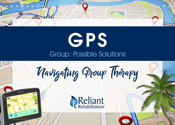

# Group: Possible Solutions **GPS**

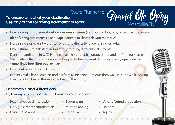### **To ensure arrival at your destination, use any of the following navigational tools:**  Route Planner to

- Lead a group discussion about various music genres (i.e., country, folk, jazz, blues, classical, or swing).
- Identify song titles/artists. Encourage patients to share relevant memories.
- Host a sing along. Print words to songs for patients to follow or sing karaoke.
- Play instruments. Ask staff and/or family to bring different instruments.
- Dance standing or in W/C. Patients may choreograph a group dance and perform for staff or teach others their favorite dance technique. Utilize different dance styles (i.e., square dance, tango, lindy hop, jitter bug, or jive).
- Host contests such as a "dance off."
- Patients make handkerchiefs and perform a line dance. Patients then walk in a line while waving their handkerchief in the air to the beat of the music.

#### **Landmarks and Attractions:**

High energy group focused on these major attractions:

- Pragmatic/social Interaction
- Fine/gross motor coordination
- Dynamic balance
- Sequencing
- Motor planning
- Vestibular

• Voicing/sound production

Grand Ole Opry

Nashville,TN

- Rhythm
- **Agility**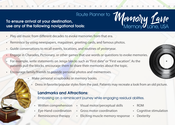#### **To ensure arrival at your destination, use any of the following navigational tools:**

- Play old music from different decades to evoke memories from that era.
- Reminisce by using newspapers, magazines, greeting cards, and famous photos.
- Guide conversations to recall events, locations, and routines of yesteryear.
- Engage in Charades, Pictionary, or other games that use words or questions to evoke memories.
- For example, write statements on Jenga blocks such as "First date" or "First vacation". As the patients pull the blocks, encourage them to share their memories about the topic.
- Encourage family/friends to provide personal photos and mementoes.
	- Make personal scrapbooks or memory books.
		- Dress in favorite/popular styles from the past. Patients may recreate a look from an old picture.

#### **Landmarks and Attractions:**

Embarking on a reminiscent journey while engaging residual abilities.

- Written comprehension
- Eye-Hand coordination
- Reminiscence therapy
- Visual motor/perceptual skills
- Gross motor coordination
- Eliciting muscle memory response • Dexterity



Memory Lane

Memory Lane, USA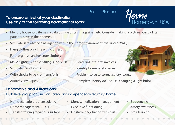#### **To ensure arrival at your destination, use any of the following navigational tools:**

- Identify household items via catalogs, websites, magazines, etc. Consider making a picture board of items patients have in their homes.
- Simulate safe obstacle navigation within the home environment (walking or W/C).
- Hang clothes on a line with clothespins.
- Fold, organize and/or store clothes.
- Make a grocery and cleaning supply list.
- Simulate use of items.
- Write checks to pay for items/bills.
- Address envelopes.

#### **Landmarks and Attractions:**

High level group focused on safely and independently returning home.

- Home scenario problem solving
- Home management/IADL's
- Transfer training to various surfaces
- Money/medication management
- **Executive functioning**
- Obstacle negotiation with gait
- **Sequencing**
- **Safety awareness**
- Stair training
- Read and interpret invoices.
- Identify home safety issues.
- Problem solve to correct safety issues.
- Complete "honey do" list (i.e., changing a light bulb).



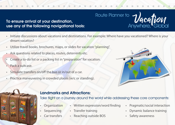#### **To ensure arrival at your destination, use any of the following navigational tools:**

- Initiate discussions about vacations and destinations. For example: Where have you vacationed? Where is your dream vacation?
- Utilize travel books, brochures, maps, or slides for vacation "planning".
- Ask questions related to places, routes, deterrents etc.
- Create a to-do list or a packing list in "preparation" for vacation.
- Pack a suitcase.
- Simulate transfers on/off the bus or in/out of a car.
- Practice maneuvering in crowded places (w/c or standing).



**Vacafion**<br>Anywhere, Global



#### **Landmarks and Attractions:**

Take flight on a journey around the world while addressing these core components:

Route Planner to

- **Organization**
- Written expression/word finding
- Sequencing
- Car transfers
- Transfer training
- Reaching outside BOS
- Pragmatic/social interaction
- Dynamic balance training
- Safety awareness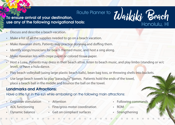#### **To ensure arrival at your destination, use any of the following navigational tools:**

- Discuss and describe a beach vacation.
- Make a list of all the supplies needed to go on a beach vacation.
- Make Hawaiian shirts. Patients may practice donning and doffing them.
- Identify songs/musicians for beach themed music, and host a sing along.
- Make Hawaiian leis with crepe paper or colored tissue paper.
- Host a Luau. Patients may dress in their beach attire, listen to beach music, and play limbo (standing or w/c level), or have a hula dance.
- Play beach volleyball (using large plastic beach balls), bean bag toss, or throwing shells into buckets.
- Use large beach towels to play "parachute" games. Patients hold the ends of the towel, place a beach ball in the middle and bounce the ball on the towel.

#### **Landmarks and Attractions:**

Have a little fun in the sun while embarking on the following main attractions:

- Cognitive stimulation
- Attention

• ADL functioning

- Fine/gross motor coordination
- Dynamic balance
- Gait on compliant surfaces

• Following commands

Waikiki Beach

Honolulu, HI

- ROM
- Strengthening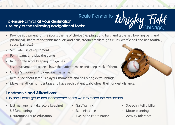#### **To ensure arrival at your destination, use any of the following navigational tools:**

- Provide equipment for the sports theme of choice (i.e., ping pong balls and table net, bowling pens and plastic ball, badminton/tennis racquets and balls, croquet mallets, golf clubs, whiffle ball and bat, football, soccer ball, etc.)
- Simulate use of equipment.
- Form teams and play the game.
- Incorporate score keeping into games.
- Use tournament brackets have the patients make and keep track of them.
- Utilize "announcers" to describe the game.
- Reminisce about famous players, moments, and nail biting extra-innings.
- Make marathon number tags and have each patient walk/wheel their longest distance.

#### **Landmarks and Attractions:**

Fun and kinetic group that incorporates team work to reach the destination.

- List management (i.e. score keeping)
- UE functioning
- Neuromuscular re-education
- Gait Training
- Reminiscence
- Eye- hand coordination
- Speech intelligibility
- Motor planning
- **Activity Tolerance**



Chicago, IL

Whigley Field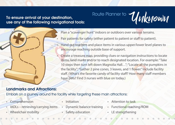#### **To ensure arrival at your destination, use any of the following navigational tools:**

# Route Planner to **Unknown**

- Plan a "scavenger hunt" indoors or outdoors over various terrains.
- Pair patients for safety (either patient to patient or staff to patient).
- Hand out reachers and place items in various upper/lower level planes to encourage reaching outside base of support.
- Create a treasure map, providing clues or navigation instructions to locate items, land marks and/or to reach designated location. For example: "Take 10 steps then turn left down Magnolia Hall..."; "Locate all the pumpkins in the facility."; "Gather 2 pine cones, 3 leaves, and 1 flower." Include facility staff. (What's the favorite candy of facility staff? How many staff members have pets? Find 3 nurses with blue on today.)

#### **Landmarks and Attractions:**

Embark on a journey around the facility while targeting these main attractions:

- **Comprehension**
- IADLs retrieving/carrying items
- Wheelchair mobility
- Initiation
- Dynamic balance training
- Safety education
- Attention to task
- Functional reaching/ROM
- LE strengthening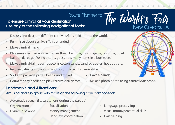#### **To ensure arrival at your destination, use any of the following navigational tools:**

- Discuss and describe different carnivals/fairs held around the world.
- Reminisce about carnivals/fairs attended.
- Make carnival masks.
- Play simulated carnival/fair games (bean bag toss, fishing game, ring toss, bowling, balloon darts, golf using a cane, guess how many items in a bottle, etc.)
- Make carnival/fair foods (popcorn, cotton candy, candied apples, hot dogs etc.)
- Involve patients in planning and hosting a facility carnival/fair.
- Sort and package prizes, beads, and trinkets.
- Have a parade.
- Count money needed to play carnival/fair games.

#### **Landmarks and Attractions:**

Amusing and fun group with focus on the following core components:

- Automatic speech (i.e. salutations during the parade)
- **Organization**

Dynamic balance

- Socialization
- Money management
- Hand-eye coordination

• Language processing

• Make a photo booth using carnival/fair props.

- Visual motor/perceptual skills
- Gait training



The World's Fair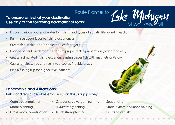#### **To ensure arrival at your destination, use any of the following navigational tools:**  Route Planner to

- Discuss various bodies of water for fishing and types of aquatic life found in each.
- Reminisce about favorite fishing experiences.
- Create fish, tackle, and/or poles as a craft project.
- Engage patients in demonstrations of proper tackle preparation (organizing etc.)
- Create a simulated fishing experience using paper fish with magnets or Velcro.
- Cast and release rod and reel into a cooler. Provide prizes.
- Plan a fishing trip for higher level patients.

#### **Landmarks and Attractions:**

Relax and reminisce while embarking on this group journey:

- Cognitive stimulation
- Motor planning
- Gross motor coordination
- Categorical/divergent naming
- ROM/strengthening
- Trunk strengthening
- **Sequencing**
- Static/dynamic balance training

Lake Michigan

Milwaukee, *M*II

Limits of stability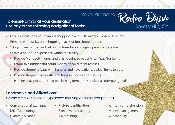# Route Planner to **Rodeo Dhive**

#### **To ensure arrival at your destination, use any of the following navigational tools:**

- Lead a discussion about famous shopping places (5th Avenue, Rodeo Drive, etc.)
- Reminisce about favorite shopping places or fun shopping trips.
- "Shop" in magazines and cut out pictures for a collage or personal style board.
- Create a boutique experience within the facility.
	- Provide Monopoly money and plastic coins so patients can "pay" for items.
	- Establish a budget and count money needed for purchases.
	- Provide shopping bags with handles and have patients collect items to buy.
	- Provide shopping lists with directions to locate certain items.
	- Patients may put a price tag on clothing items and simulate a store/garage sale.

#### **Landmarks and Attractions:**

Create a virtual shopping experience focusing on these components:

- Conversational exchange
- IADL functioning
- Dynamic balance
- Picture identification
- Executive functioning
- Gait training

• Written comprehension

Beverly Hills, CA

- Money management
- W/c mobility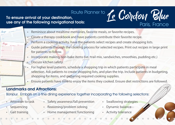#### **To ensure arrival at your destination, use any of the following navigational tools:**  Route Planner to **Le Cordon Blue**

- Reminisce about mealtime memories, favorite meals, or favorite recipes.
- Create a therapy cookbook and have patients contribute their favorite recipe.
- Perform a cooking activity, have the patients select recipes and create shopping lists.
- Guide patients through the cooking process for selected recipes. Print out recipes in large print for patients to follow.
- Incorporate making non-bake items (i.e., trail mix, sandwiches, smoothies, pudding etc.)
- Discuss kitchen safety.
- For higher level patients, schedule a shopping trip in which patients participate in meal selection. Ask patients to create shopping lists, and plan the trip. Include patients in budgeting, shopping for items, and gathering required cooking supplies.
- Ensure patients have time to enjoy the items they cooked. Ensure diet restrictions are followed.

#### **Landmarks and Attractions:**

Bonjour. Embark on a fine dining experience together incorporating the following selections:

- Attention to task
- **Sequencing**
- Gait training
- Safety awareness/fall prevention
- Reasoning/problem solving
- Home management functioning
- Swallowing strategies

Paris, France

- Dynamic balance
- Activity tolerance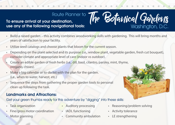#### **To ensure arrival at your destination, use any of the following navigational tools:**

- Build a raised garden this activity combines woodworking skills with gardening. This will bring months and years of satisfaction to your facility.
- Utilize seed catalogs and choose plants that bloom for the current season.
- Depending on the plant selected and its purpose (i.e., window plant, vegetable garden, fresh cut bouquet), consider climate and appropriate level of care (indoor vs outdoor).
- Create an edible garden of fresh herbs (i.e., dill, basil, cilantro, parsley, mint, thyme, oregano, chives).
- Make a big calendar or to-do list with the plan for the garden. (i.e., when to water, harvest, etc.)
- Sequence the steps from gathering the proper garden tools to personal clean up following the task.

#### **Landmarks and Attractions:**

Get your green thumbs ready for this adventure by "digging" into these skills:

- Task organization
- Fine/gross motor coordination
- Motor planning
- Auditory processing
- IADL functioning
- Community ambulation
- Reasoning/problem solving

The Botanical Gardens

Washington, D.C.

- Activity tolerance
- LE strengthening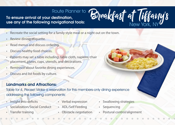**To ensure arrival at your destination, use any of the following navigational tools:** 

- Recreate the social setting for a family style meal or a night out on the town.
- Review dining etiquette.
- Read menus and discuss ordering.
- Discuss healthy food choices.
- Patients may set a table including: table cloth, napkins, chair placement, plates, cups, utensils, and decorations.
- Reminisce about favorite dining experiences.
- Discuss and list foods by culture.

#### **Landmarks and Attractions:**

Table for 4, Please! Make a reservation for this members-only dining experience addressing the following components:

- Insight into deficits
- Socialization/Social Conduct
- Transfer training
- Verbal expression
- ADL/Self Feeding
- Obstacle negotiation
- Swallowing strategies
- Sequencing
- Postural control/alignment

Breakfast at Tiffany's

New York, NY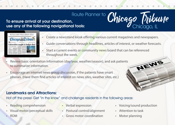# Route Planner to **Chicago Tribune**<br>al tools:<br>al tools:

#### **To ensure arrival at your destination, use any of the following navigational tools:**



- Create a newsstand kiosk offering various current magazines and newspapers.
- Guide conversations through headlines, articles of interest, or weather forecasts.
- Start a current events or community news board that can be referenced throughout the week.
- Review basic orientation information (day/year, weather/season), and ask patients to summarize information.
- Encourage an internet news group discussion, if the patients have smart phones. (Have them find articles of interest on news sites, weather sites, etc.)

#### **Landmarks and Attractions:**

Hot off the press! Get "in the know" and challenge residents in the following areas:

- Reading comprehension
- Visual motor/perceptual skills
- ROM
- Verbal expression
- Postural control/alignment
- Gross motor coordination
- Voicing/sound production

NEWS

- Attention to task
- Motor planning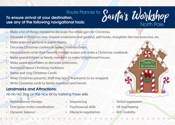#### **To ensure arrival at your destination, use any of the following navigational tools:**  Route Planner to

- Make a list of things needed to decorate the rehab gym for Christmas.
- Decorate a Christmas tree. Unpack ornaments and garland, add hooks, straighten the tree branches, etc.
- Make popcorn garland or paper chains.
- Decorate Christmas cookies or make Christmas treats.
- Have patients write their favorite holiday recipes and make a Christmas cookbook.
- Invite grandchildren or family members to make Gingerbread houses.
- Make paper snowflakes or decorate pinecones.
- Reminisce about Christmas traditions.
- Name and sing Christmas Carols.
- Wrap Christmas presents. Staff may bring in presents to be wrapped.
- Write Christmas cards to family members and friends.

#### **Landmarks and Attractions:**

Ho Ho Ho! Stay on the nice list by fostering these skills.

- Reminiscence therapy
- Fine/gross motor coordination
- Dynamic balance
- Sequencing
- Psychosocial skills
- Obstacle negotiation

• Verbal expression

Santa's Workshop

North Pole

- UE functioning
- W/C mobility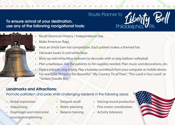#### **To ensure arrival at your destination, use any of the following navigational tools:**



- Make American flags.
- Host an Uncle Sam hat competition. Each patient makes a themed hat.
- Decorate treats in red/white/blue.
- Blow up red/white/blue balloons to decorate with or play balloon volleyball.
- Plan a barbeque. Ask the patients to list supplies needed. Plan music and decorations, etc.

Route Planner to

• Have a patriotic sing-a-long. Play a karaoke soundtrack from your computer or mobile device. For example: "America the Beautiful", "My Country Tis of Thee", "This Land is Your Land", or "Yankee Doodle Boy".

#### **Landmarks and Attractions:**

#### Promote patriotism and pride while challenging residents in the following areas:

- Verbal expression
- **Sequencing**
- Diaphragm and intercostal muscle strengthening
- Delayed recall
- Motor planning
- Balance training
- Voicing/sound production
- Fine motor coordination
- Activity tolerance



Liberty Bell

Philadelphia, **PA**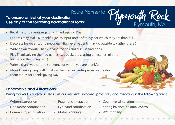# Plymouth Rock Route Planner to

#### **To ensure arrival at your destination, use any of the following navigational tools:**

- Recall historic events regarding Thanksgiving Day.
- Patients may make a "thankful jar" to input notes of things for which they are thankful.
- Decorate leaves and/or pinecones. (High level patients may go outside to gather these.)
- Write down favorite Thanksgiving recipes and discuss traditions.
- Play Thanksgiving themed games (i.e., bucket toss using pinecones, pin the feather on the turkey, etc.)
- Write a thank you card to someone for whom you are thankful.
- Make Thanksgiving crafts that can be used as centerpieces on the dining room tables for Thanksgiving Day.

#### **Landmarks and Attractions:**

Being thankful is a verb, so let's get our residents involved (physically and mentally) in the following areas:

- Written expression
- Fine motor coordination
- Community ambulation
- Pragmatic interaction
- Eye-hand coordination
- Motor planning
- Cognitive stimulation
- Sitting balance/postural control

Plymouth, MA

• W/C mobility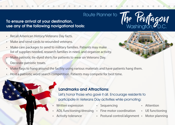#### **To ensure arrival at your destination, use any of the following navigational tools:**

- Recall American History/Veterans Day facts.
- Make and send cards to wounded veterans.
- Make care packages to send to military families. Patients may make list of supplies needed, research families in need, and organize activity.
- Make patriotic tie-dyed shirts for patients to wear on Veterans Day.
- Decorate patriotic treats.



• Host a patriotic word search competition. Patients may compete for best time.

#### **Landmarks and Attractions:**

Let's honor those who gave it all. Encourage residents to participate in Veterans Day activities while promoting:

• Sequencing

- Written expression
- ADL functioning/dressing Fine motor coordination
- Activity tolerance
- 
- Postural control/alignment
- **Attention**
- UE functioning
	- Motor planning

The Pentagon<br>Washington, O.C.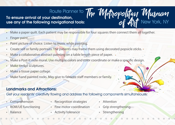**To ensure arrival at your destination, use any of the following navigational tools:** 

- Make a paper quilt. Each patient may be responsible for four squares then connect them all together.
- Finger paint.
- Paint picture of choice. Listen to music while painting.
- Create self or family portraits. The patients may frame them using decorated popsicle sticks.
- Make a collaborative abstract painting on a table length piece of paper.
- Make a Post-It note mural. Use multiple colors and color coordinate or make a specific design.
- Make tin foil sculptures.
- Make a tissue paper collage.
- Make hand painted rocks. May give to favorite staff members or family.

#### **Landmarks and Attractions:**

Get your residents' creativity flowing and address the following components simultaneously:

**Comprehension** 

- Recognition strategies
- ROM/UE functioning
- Balance
- Fine motor coordination
- Activity tolerance
- Attention
- Grip strengthening

The Metropolitan Museum

of  $\mathcal{A}\mathcal{M}$  New York, NY

• Strengthening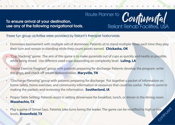**To ensure arrival at your destination, use any of the following navigational tools.** 



These fun group activities were provided by Reliant's therapist Nationwide.

- Dominoes tournament with multiple sets of dominoes: Patients sit to stand multiple times each time they play their turn and remain in standing while they count points earned. **Chickasha, OK**
- "Cup Stacking" game: The aim of this game is to make pyramids out of cups as quickly and neatly as possible, while being timed. Use different sized cups depending on complexity level. **Luling, LA**
- "Home Exercise Program" group with patients preparing for discharge: Patients develop the program, write the steps, and check off return demonstration. **Maryville, TN**
- "Discharge Planning" group with patients preparing for discharge: Put together a packet of information on home safety, home exercises, and community information or resources that could be useful. Patients assist in making the packets and reviewing the information. **Southerland, IA**
- Proper Table Setting: Patients assist in setting dinnerware for breakfast, lunch, or dinner in the dining room. **Waxahachie, TX**
- Play a game of Simon Says. Patients take turns being the leader. The game can be modified to high or low levels. **Brownfield, TX** continued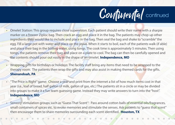

- Omelet Station: This group requires close supervision. Each patient should write their name with a sharpie marker on a freezer Ziploc bag. Then crack an egg and place it in the bag. The patients may chop up other ingredients they would like to include and place in the bag. Then seal the bag and shake to "scramble" the egg. Fill a large pot with water and place on the stove. When it starts to boil, each of the patients walk (if able) and place their bag in the boiling water, using tongs. The cook time is approximately 5 minutes. Then using tongs, the patients remove their bag and place on a plate to cool. The bag can then be carefully opened and the contents should pour out easily in the shape of an omelet. **Independence, MO**
- Wrapping gifts for birthdays or holidays: The facility staff bring any items that need to be wrapped to the therapy room. The patients then wrap the gifts and may also assist in making themed cards for the gifts. **Shenandoah, PA**
- "The Price is Right" game: Choose a year and print from the internet a list of how much items cost in that year (i.e., loaf of bread, half gallon of milk, gallon of gas, etc.) The patients sit in a circle or may be divided into groups to make it a fun team guessing game. Instead they may write answers to turn into the "host". **Independence, MO**
- Sensory stimulation groups such as "Guess That Scent": Pass around cotton balls of essential oils/fragrances, small containers of spices etc. to evoke memories and stimulate the senses. Ask patients to "quess that scent" then encourage them to share memories surrounding each scent identified. **Houston, TX**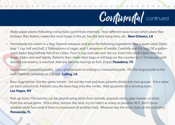

- Make paper planes following instructions (print from internet). Host different races to see which plane flies furthest, flies fastest, makes the most loops in the air, has the best hang time, etc. **New Orleans, LA**
- Homemade Ice-cream in a Bag: Patients measure and pour the following ingredients into a quart-sized Ziploc bag: 1 cup half and half, 2 Tablespoons of sugar, and 1/2 teaspoon of vanilla. Carefully seal the bag. Fill a gallonsized Ziploc bag halfway full of ice cubes. Pour  $\frac{1}{2}$  cup rock salt over the ice. Insert the small Ziploc into the larger Ziploc and seal tightly. Patients then shake their bags or roll bags on the counter for 5-10 minutes until desired consistency is reached. Add any favorite mixings or fruit. Enjoy! **Pasadena, TX**
- Supersized crossword puzzles: Use a photocopier to enlarge a crossword puzzle. Pin the large puzzle to the wall. Patients complete as a group. **Luling, LA**
- Bean bag twister: Use the game twister. Set out the mat and have patients divide into two groups. Put a value on each color/circle. Patients toss the bean bag onto the circles. Add up points for a winning team. **Las Vegas, NV**
- Pick up sticks: This activity can be played using sticks from outside, popsicle sticks, pipe cleaner, or sticks from the actual game. Pick a stick, remove the stick, try to collect as many as possible, BUT, don't move another stick! Turn ends if there is movement of another stick. Whoever has the most sticks at the end wins! **Pensacola, FL**